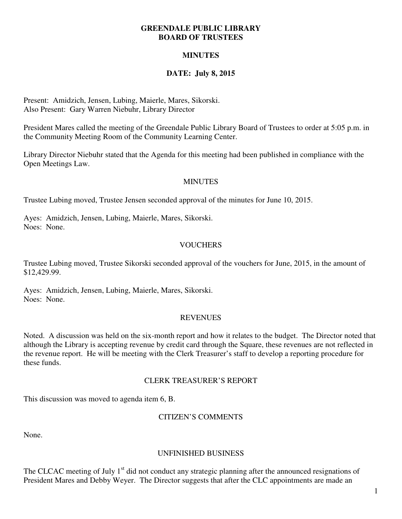#### **GREENDALE PUBLIC LIBRARY BOARD OF TRUSTEES**

# **MINUTES**

# **DATE: July 8, 2015**

Present: Amidzich, Jensen, Lubing, Maierle, Mares, Sikorski. Also Present: Gary Warren Niebuhr, Library Director

President Mares called the meeting of the Greendale Public Library Board of Trustees to order at 5:05 p.m. in the Community Meeting Room of the Community Learning Center.

Library Director Niebuhr stated that the Agenda for this meeting had been published in compliance with the Open Meetings Law.

#### **MINUTES**

Trustee Lubing moved, Trustee Jensen seconded approval of the minutes for June 10, 2015.

Ayes: Amidzich, Jensen, Lubing, Maierle, Mares, Sikorski. Noes: None.

# **VOUCHERS**

Trustee Lubing moved, Trustee Sikorski seconded approval of the vouchers for June, 2015, in the amount of \$12,429.99.

Ayes: Amidzich, Jensen, Lubing, Maierle, Mares, Sikorski. Noes: None.

#### **REVENUES**

Noted. A discussion was held on the six-month report and how it relates to the budget. The Director noted that although the Library is accepting revenue by credit card through the Square, these revenues are not reflected in the revenue report. He will be meeting with the Clerk Treasurer's staff to develop a reporting procedure for these funds.

#### CLERK TREASURER'S REPORT

This discussion was moved to agenda item 6, B.

# CITIZEN'S COMMENTS

None.

#### UNFINISHED BUSINESS

The CLCAC meeting of July  $1<sup>st</sup>$  did not conduct any strategic planning after the announced resignations of President Mares and Debby Weyer. The Director suggests that after the CLC appointments are made an